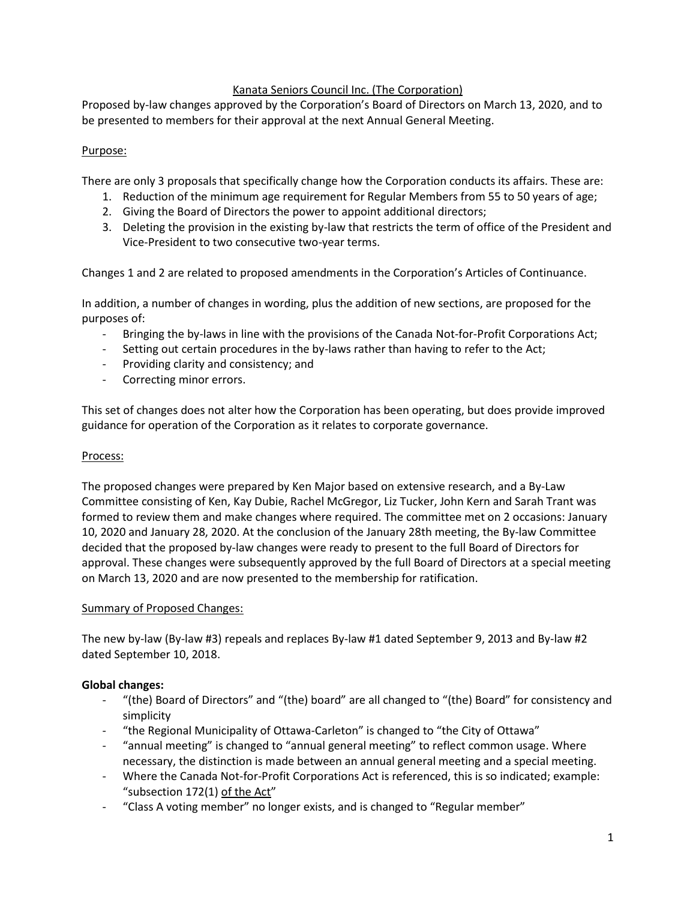# Kanata Seniors Council Inc. (The Corporation)

Proposed by-law changes approved by the Corporation's Board of Directors on March 13, 2020, and to be presented to members for their approval at the next Annual General Meeting.

## Purpose:

There are only 3 proposals that specifically change how the Corporation conducts its affairs. These are:

- 1. Reduction of the minimum age requirement for Regular Members from 55 to 50 years of age;
- 2. Giving the Board of Directors the power to appoint additional directors;
- 3. Deleting the provision in the existing by-law that restricts the term of office of the President and Vice-President to two consecutive two-year terms.

Changes 1 and 2 are related to proposed amendments in the Corporation's Articles of Continuance.

In addition, a number of changes in wording, plus the addition of new sections, are proposed for the purposes of:

- Bringing the by-laws in line with the provisions of the Canada Not-for-Profit Corporations Act;
- Setting out certain procedures in the by-laws rather than having to refer to the Act;
- Providing clarity and consistency; and
- Correcting minor errors.

This set of changes does not alter how the Corporation has been operating, but does provide improved guidance for operation of the Corporation as it relates to corporate governance.

### Process:

The proposed changes were prepared by Ken Major based on extensive research, and a By-Law Committee consisting of Ken, Kay Dubie, Rachel McGregor, Liz Tucker, John Kern and Sarah Trant was formed to review them and make changes where required. The committee met on 2 occasions: January 10, 2020 and January 28, 2020. At the conclusion of the January 28th meeting, the By-law Committee decided that the proposed by-law changes were ready to present to the full Board of Directors for approval. These changes were subsequently approved by the full Board of Directors at a special meeting on March 13, 2020 and are now presented to the membership for ratification.

### Summary of Proposed Changes:

The new by-law (By-law #3) repeals and replaces By-law #1 dated September 9, 2013 and By-law #2 dated September 10, 2018.

### **Global changes:**

- "(the) Board of Directors" and "(the) board" are all changed to "(the) Board" for consistency and simplicity
- "the Regional Municipality of Ottawa-Carleton" is changed to "the City of Ottawa"
- "annual meeting" is changed to "annual general meeting" to reflect common usage. Where necessary, the distinction is made between an annual general meeting and a special meeting.
- Where the Canada Not-for-Profit Corporations Act is referenced, this is so indicated; example: "subsection 172(1) of the Act"
- "Class A voting member" no longer exists, and is changed to "Regular member"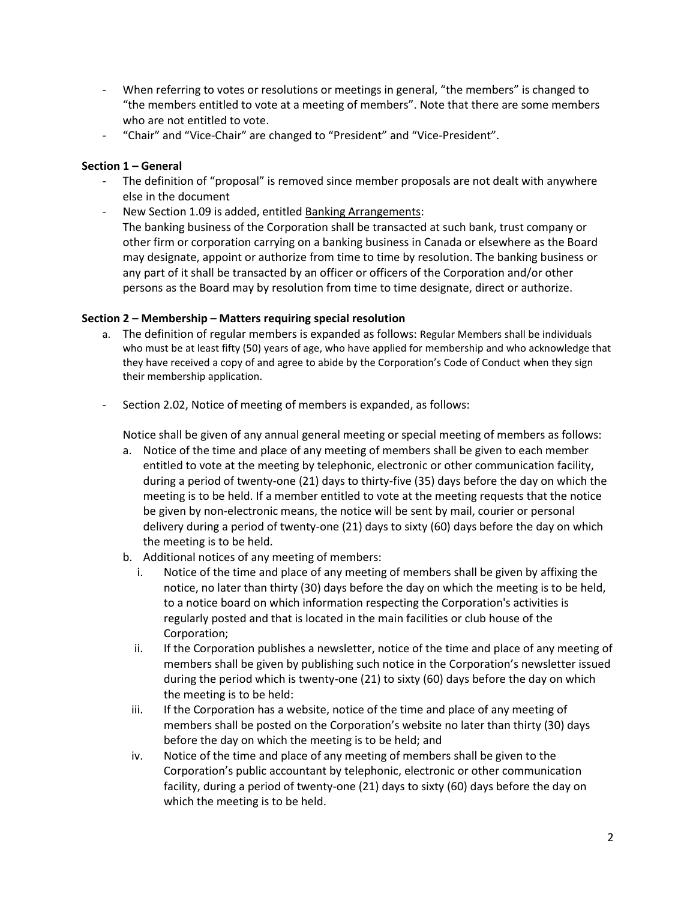- When referring to votes or resolutions or meetings in general, "the members" is changed to "the members entitled to vote at a meeting of members". Note that there are some members who are not entitled to vote.
- "Chair" and "Vice-Chair" are changed to "President" and "Vice-President".

## **Section 1 – General**

- The definition of "proposal" is removed since member proposals are not dealt with anywhere else in the document
- New Section 1.09 is added, entitled Banking Arrangements: The banking business of the Corporation shall be transacted at such bank, trust company or other firm or corporation carrying on a banking business in Canada or elsewhere as the Board may designate, appoint or authorize from time to time by resolution. The banking business or any part of it shall be transacted by an officer or officers of the Corporation and/or other persons as the Board may by resolution from time to time designate, direct or authorize.

## **Section 2 – Membership – Matters requiring special resolution**

- a. The definition of regular members is expanded as follows: Regular Members shall be individuals who must be at least fifty (50) years of age, who have applied for membership and who acknowledge that they have received a copy of and agree to abide by the Corporation's Code of Conduct when they sign their membership application.
- Section 2.02, Notice of meeting of members is expanded, as follows:

Notice shall be given of any annual general meeting or special meeting of members as follows:

- a. Notice of the time and place of any meeting of members shall be given to each member entitled to vote at the meeting by telephonic, electronic or other communication facility, during a period of twenty-one (21) days to thirty-five (35) days before the day on which the meeting is to be held. If a member entitled to vote at the meeting requests that the notice be given by non-electronic means, the notice will be sent by mail, courier or personal delivery during a period of twenty-one (21) days to sixty (60) days before the day on which the meeting is to be held.
- b. Additional notices of any meeting of members:
	- i. Notice of the time and place of any meeting of members shall be given by affixing the notice, no later than thirty (30) days before the day on which the meeting is to be held, to a notice board on which information respecting the Corporation's activities is regularly posted and that is located in the main facilities or club house of the Corporation;
	- ii. If the Corporation publishes a newsletter, notice of the time and place of any meeting of members shall be given by publishing such notice in the Corporation's newsletter issued during the period which is twenty-one (21) to sixty (60) days before the day on which the meeting is to be held:
	- iii. If the Corporation has a website, notice of the time and place of any meeting of members shall be posted on the Corporation's website no later than thirty (30) days before the day on which the meeting is to be held; and
	- iv. Notice of the time and place of any meeting of members shall be given to the Corporation's public accountant by telephonic, electronic or other communication facility, during a period of twenty-one (21) days to sixty (60) days before the day on which the meeting is to be held.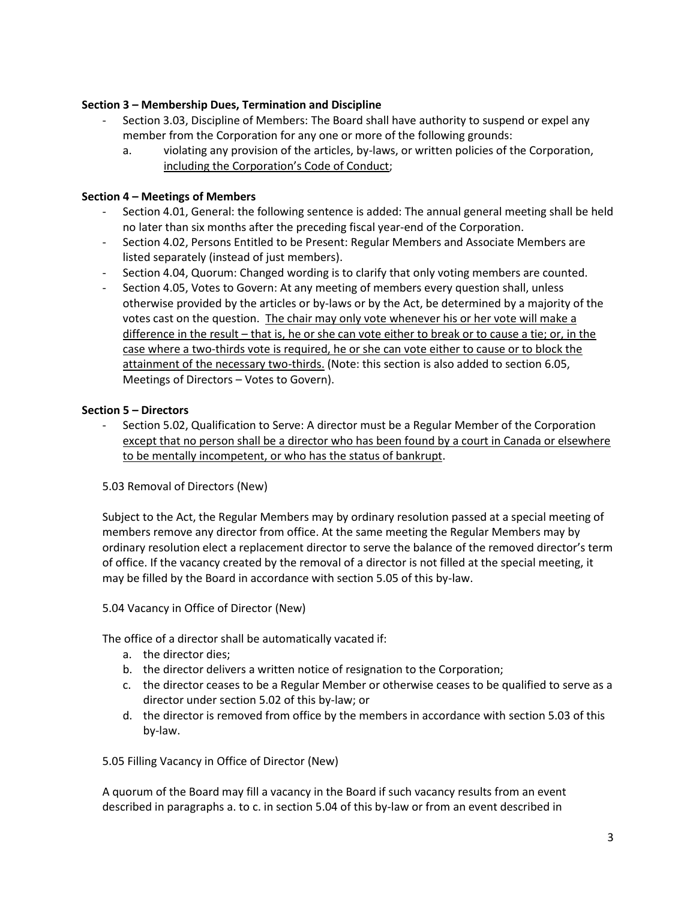## **Section 3 – Membership Dues, Termination and Discipline**

- Section 3.03, Discipline of Members: The Board shall have authority to suspend or expel any member from the Corporation for any one or more of the following grounds:
	- a. violating any provision of the articles, by-laws, or written policies of the Corporation, including the Corporation's Code of Conduct;

## **Section 4 – Meetings of Members**

- Section 4.01, General: the following sentence is added: The annual general meeting shall be held no later than six months after the preceding fiscal year-end of the Corporation.
- Section 4.02, Persons Entitled to be Present: Regular Members and Associate Members are listed separately (instead of just members).
- Section 4.04, Quorum: Changed wording is to clarify that only voting members are counted.
- Section 4.05, Votes to Govern: At any meeting of members every question shall, unless otherwise provided by the articles or by-laws or by the Act, be determined by a majority of the votes cast on the question. The chair may only vote whenever his or her vote will make a difference in the result – that is, he or she can vote either to break or to cause a tie; or, in the case where a two-thirds vote is required, he or she can vote either to cause or to block the attainment of the necessary two-thirds. (Note: this section is also added to section 6.05, Meetings of Directors – Votes to Govern).

## **Section 5 – Directors**

Section 5.02, Qualification to Serve: A director must be a Regular Member of the Corporation except that no person shall be a director who has been found by a court in Canada or elsewhere to be mentally incompetent, or who has the status of bankrupt.

5.03 Removal of Directors (New)

Subject to the Act, the Regular Members may by ordinary resolution passed at a special meeting of members remove any director from office. At the same meeting the Regular Members may by ordinary resolution elect a replacement director to serve the balance of the removed director's term of office. If the vacancy created by the removal of a director is not filled at the special meeting, it may be filled by the Board in accordance with section 5.05 of this by-law.

5.04 Vacancy in Office of Director (New)

The office of a director shall be automatically vacated if:

- a. the director dies;
- b. the director delivers a written notice of resignation to the Corporation;
- c. the director ceases to be a Regular Member or otherwise ceases to be qualified to serve as a director under section 5.02 of this by-law; or
- d. the director is removed from office by the members in accordance with section 5.03 of this by-law.

5.05 Filling Vacancy in Office of Director (New)

A quorum of the Board may fill a vacancy in the Board if such vacancy results from an event described in paragraphs a. to c. in section 5.04 of this by-law or from an event described in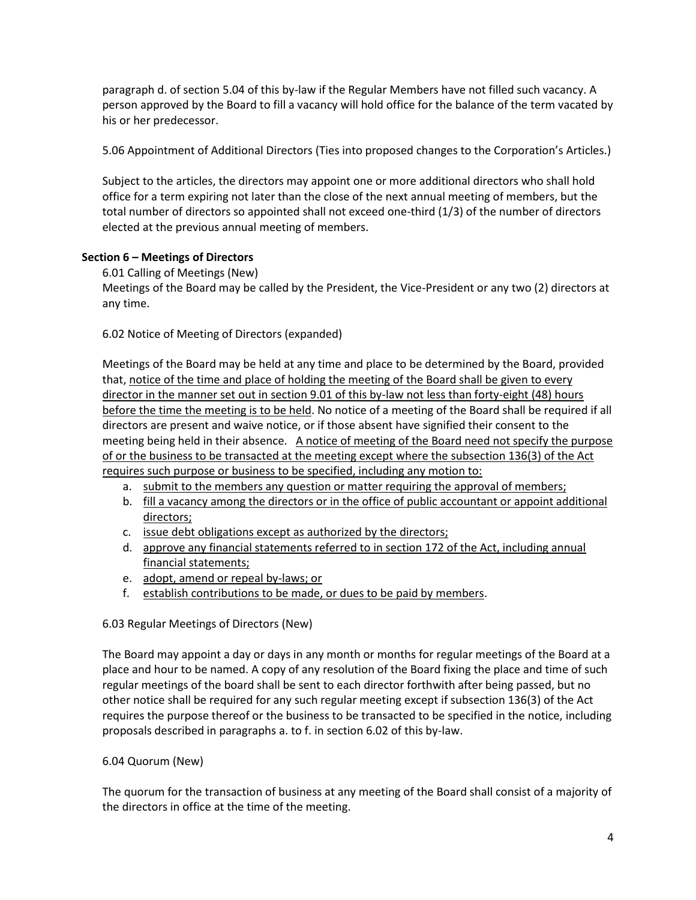paragraph d. of section 5.04 of this by-law if the Regular Members have not filled such vacancy. A person approved by the Board to fill a vacancy will hold office for the balance of the term vacated by his or her predecessor.

5.06 Appointment of Additional Directors (Ties into proposed changes to the Corporation's Articles.)

Subject to the articles, the directors may appoint one or more additional directors who shall hold office for a term expiring not later than the close of the next annual meeting of members, but the total number of directors so appointed shall not exceed one-third (1/3) of the number of directors elected at the previous annual meeting of members.

# **Section 6 – Meetings of Directors**

6.01 Calling of Meetings (New)

Meetings of the Board may be called by the President, the Vice-President or any two (2) directors at any time.

6.02 Notice of Meeting of Directors (expanded)

Meetings of the Board may be held at any time and place to be determined by the Board, provided that, notice of the time and place of holding the meeting of the Board shall be given to every director in the manner set out in section 9.01 of this by-law not less than forty-eight (48) hours before the time the meeting is to be held. No notice of a meeting of the Board shall be required if all directors are present and waive notice, or if those absent have signified their consent to the meeting being held in their absence. A notice of meeting of the Board need not specify the purpose of or the business to be transacted at the meeting except where the subsection 136(3) of the Act requires such purpose or business to be specified, including any motion to:

- a. submit to the members any question or matter requiring the approval of members;
- b. fill a vacancy among the directors or in the office of public accountant or appoint additional directors;
- c. issue debt obligations except as authorized by the directors;
- d. approve any financial statements referred to in section 172 of the Act, including annual financial statements;
- e. adopt, amend or repeal by-laws; or
- f. establish contributions to be made, or dues to be paid by members.

# 6.03 Regular Meetings of Directors (New)

The Board may appoint a day or days in any month or months for regular meetings of the Board at a place and hour to be named. A copy of any resolution of the Board fixing the place and time of such regular meetings of the board shall be sent to each director forthwith after being passed, but no other notice shall be required for any such regular meeting except if subsection 136(3) of the Act requires the purpose thereof or the business to be transacted to be specified in the notice, including proposals described in paragraphs a. to f. in section 6.02 of this by-law.

# 6.04 Quorum (New)

The quorum for the transaction of business at any meeting of the Board shall consist of a majority of the directors in office at the time of the meeting.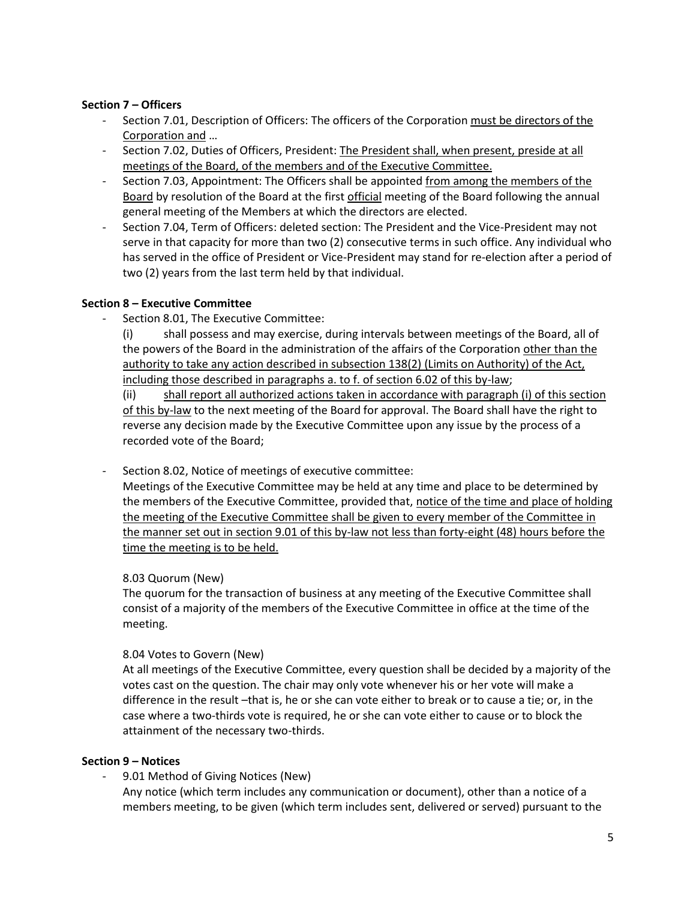## **Section 7 – Officers**

- Section 7.01, Description of Officers: The officers of the Corporation must be directors of the Corporation and …
- Section 7.02, Duties of Officers, President: The President shall, when present, preside at all meetings of the Board, of the members and of the Executive Committee.
- Section 7.03, Appointment: The Officers shall be appointed from among the members of the Board by resolution of the Board at the first official meeting of the Board following the annual general meeting of the Members at which the directors are elected.
- Section 7.04, Term of Officers: deleted section: The President and the Vice-President may not serve in that capacity for more than two (2) consecutive terms in such office. Any individual who has served in the office of President or Vice-President may stand for re-election after a period of two (2) years from the last term held by that individual.

## **Section 8 – Executive Committee**

- Section 8.01. The Executive Committee:
	- (i) shall possess and may exercise, during intervals between meetings of the Board, all of the powers of the Board in the administration of the affairs of the Corporation other than the authority to take any action described in subsection 138(2) (Limits on Authority) of the Act, including those described in paragraphs a. to f. of section 6.02 of this by-law;

(ii) shall report all authorized actions taken in accordance with paragraph (i) of this section of this by-law to the next meeting of the Board for approval. The Board shall have the right to reverse any decision made by the Executive Committee upon any issue by the process of a recorded vote of the Board;

Section 8.02, Notice of meetings of executive committee:

Meetings of the Executive Committee may be held at any time and place to be determined by the members of the Executive Committee, provided that, notice of the time and place of holding the meeting of the Executive Committee shall be given to every member of the Committee in the manner set out in section 9.01 of this by-law not less than forty-eight (48) hours before the time the meeting is to be held.

# 8.03 Quorum (New)

The quorum for the transaction of business at any meeting of the Executive Committee shall consist of a majority of the members of the Executive Committee in office at the time of the meeting.

### 8.04 Votes to Govern (New)

At all meetings of the Executive Committee, every question shall be decided by a majority of the votes cast on the question. The chair may only vote whenever his or her vote will make a difference in the result -that is, he or she can vote either to break or to cause a tie; or, in the case where a two-thirds vote is required, he or she can vote either to cause or to block the attainment of the necessary two-thirds.

### **Section 9 – Notices**

9.01 Method of Giving Notices (New)

Any notice (which term includes any communication or document), other than a notice of a members meeting, to be given (which term includes sent, delivered or served) pursuant to the